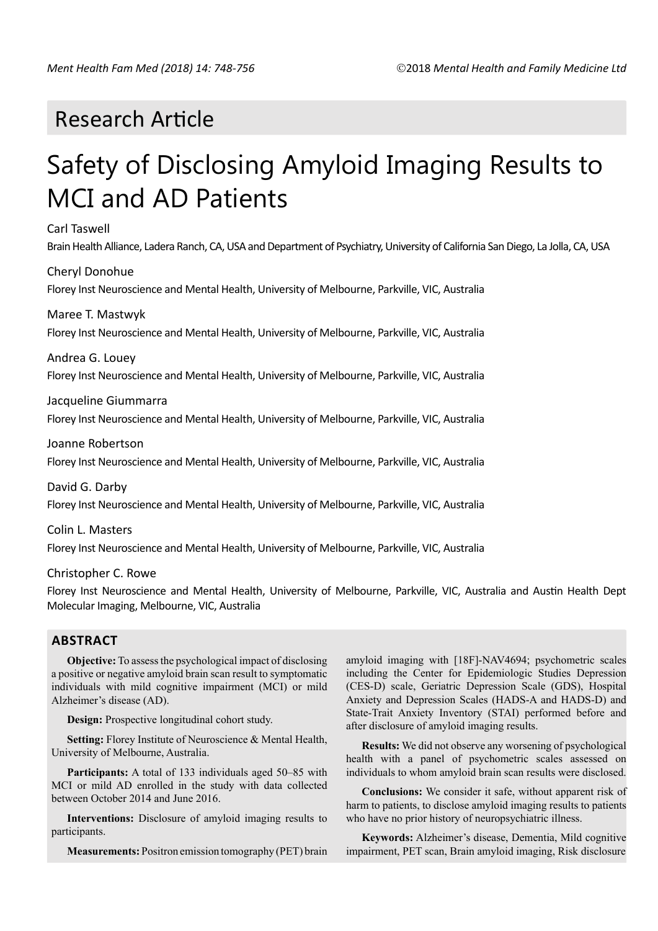# Research Article

# Safety of Disclosing Amyloid Imaging Results to MCI and AD Patients

Carl Taswell

Brain Health Alliance, Ladera Ranch, CA, USA and Department of Psychiatry, University of California San Diego, La Jolla, CA, USA

Cheryl Donohue

Florey Inst Neuroscience and Mental Health, University of Melbourne, Parkville, VIC, Australia

# Maree T. Mastwyk

Florey Inst Neuroscience and Mental Health, University of Melbourne, Parkville, VIC, Australia

Andrea G. Louey

Florey Inst Neuroscience and Mental Health, University of Melbourne, Parkville, VIC, Australia

# Jacqueline Giummarra

Florey Inst Neuroscience and Mental Health, University of Melbourne, Parkville, VIC, Australia

Joanne Robertson

Florey Inst Neuroscience and Mental Health, University of Melbourne, Parkville, VIC, Australia

David G. Darby Florey Inst Neuroscience and Mental Health, University of Melbourne, Parkville, VIC, Australia

Colin L. Masters Florey Inst Neuroscience and Mental Health, University of Melbourne, Parkville, VIC, Australia

Christopher C. Rowe

Florey Inst Neuroscience and Mental Health, University of Melbourne, Parkville, VIC, Australia and Austin Health Dept Molecular Imaging, Melbourne, VIC, Australia

# **ABSTRACT**

**Objective:** To assess the psychological impact of disclosing a positive or negative amyloid brain scan result to symptomatic individuals with mild cognitive impairment (MCI) or mild Alzheimer's disease (AD).

**Design:** Prospective longitudinal cohort study.

**Setting:** Florey Institute of Neuroscience & Mental Health, University of Melbourne, Australia.

**Participants:** A total of 133 individuals aged 50–85 with MCI or mild AD enrolled in the study with data collected between October 2014 and June 2016.

**Interventions:** Disclosure of amyloid imaging results to participants.

**Measurements:** Positron emission tomography (PET) brain

amyloid imaging with [18F]-NAV4694; psychometric scales including the Center for Epidemiologic Studies Depression (CES-D) scale, Geriatric Depression Scale (GDS), Hospital Anxiety and Depression Scales (HADS-A and HADS-D) and State-Trait Anxiety Inventory (STAI) performed before and after disclosure of amyloid imaging results.

**Results:** We did not observe any worsening of psychological health with a panel of psychometric scales assessed on individuals to whom amyloid brain scan results were disclosed.

**Conclusions:** We consider it safe, without apparent risk of harm to patients, to disclose amyloid imaging results to patients who have no prior history of neuropsychiatric illness.

**Keywords:** Alzheimer's disease, Dementia, Mild cognitive impairment, PET scan, Brain amyloid imaging, Risk disclosure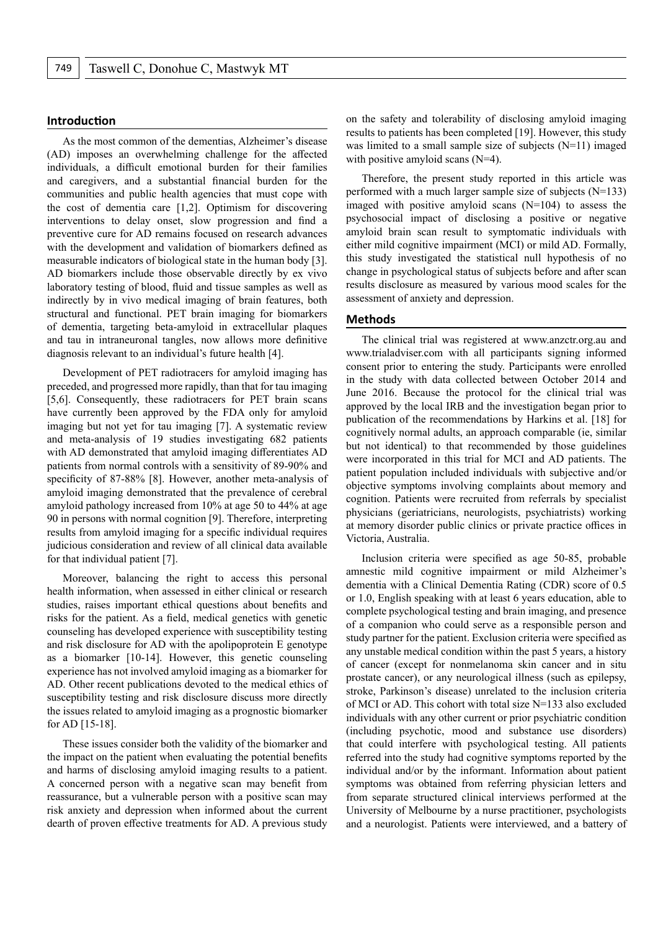#### **Introduction**

As the most common of the dementias, Alzheimer's disease (AD) imposes an overwhelming challenge for the affected individuals, a difficult emotional burden for their families and caregivers, and a substantial financial burden for the communities and public health agencies that must cope with the cost of dementia care [1,2]. Optimism for discovering interventions to delay onset, slow progression and find a preventive cure for AD remains focused on research advances with the development and validation of biomarkers defined as measurable indicators of biological state in the human body [3]. AD biomarkers include those observable directly by ex vivo laboratory testing of blood, fluid and tissue samples as well as indirectly by in vivo medical imaging of brain features, both structural and functional. PET brain imaging for biomarkers of dementia, targeting beta-amyloid in extracellular plaques and tau in intraneuronal tangles, now allows more definitive diagnosis relevant to an individual's future health [4].

Development of PET radiotracers for amyloid imaging has preceded, and progressed more rapidly, than that for tau imaging [5,6]. Consequently, these radiotracers for PET brain scans have currently been approved by the FDA only for amyloid imaging but not yet for tau imaging [7]. A systematic review and meta-analysis of 19 studies investigating 682 patients with AD demonstrated that amyloid imaging differentiates AD patients from normal controls with a sensitivity of 89-90% and specificity of 87-88% [8]. However, another meta-analysis of amyloid imaging demonstrated that the prevalence of cerebral amyloid pathology increased from 10% at age 50 to 44% at age 90 in persons with normal cognition [9]. Therefore, interpreting results from amyloid imaging for a specific individual requires judicious consideration and review of all clinical data available for that individual patient [7].

Moreover, balancing the right to access this personal health information, when assessed in either clinical or research studies, raises important ethical questions about benefits and risks for the patient. As a field, medical genetics with genetic counseling has developed experience with susceptibility testing and risk disclosure for AD with the apolipoprotein E genotype as a biomarker [10-14]. However, this genetic counseling experience has not involved amyloid imaging as a biomarker for AD. Other recent publications devoted to the medical ethics of susceptibility testing and risk disclosure discuss more directly the issues related to amyloid imaging as a prognostic biomarker for AD [15-18].

These issues consider both the validity of the biomarker and the impact on the patient when evaluating the potential benefits and harms of disclosing amyloid imaging results to a patient. A concerned person with a negative scan may benefit from reassurance, but a vulnerable person with a positive scan may risk anxiety and depression when informed about the current dearth of proven effective treatments for AD. A previous study

on the safety and tolerability of disclosing amyloid imaging results to patients has been completed [19]. However, this study was limited to a small sample size of subjects (N=11) imaged with positive amyloid scans (N=4).

Therefore, the present study reported in this article was performed with a much larger sample size of subjects  $(N=133)$ imaged with positive amyloid scans  $(N=104)$  to assess the psychosocial impact of disclosing a positive or negative amyloid brain scan result to symptomatic individuals with either mild cognitive impairment (MCI) or mild AD. Formally, this study investigated the statistical null hypothesis of no change in psychological status of subjects before and after scan results disclosure as measured by various mood scales for the assessment of anxiety and depression.

#### **Methods**

The clinical trial was registered at www.anzctr.org.au and www.trialadviser.com with all participants signing informed consent prior to entering the study. Participants were enrolled in the study with data collected between October 2014 and June 2016. Because the protocol for the clinical trial was approved by the local IRB and the investigation began prior to publication of the recommendations by Harkins et al. [18] for cognitively normal adults, an approach comparable (ie, similar but not identical) to that recommended by those guidelines were incorporated in this trial for MCI and AD patients. The patient population included individuals with subjective and/or objective symptoms involving complaints about memory and cognition. Patients were recruited from referrals by specialist physicians (geriatricians, neurologists, psychiatrists) working at memory disorder public clinics or private practice offices in Victoria, Australia.

Inclusion criteria were specified as age 50-85, probable amnestic mild cognitive impairment or mild Alzheimer's dementia with a Clinical Dementia Rating (CDR) score of 0.5 or 1.0, English speaking with at least 6 years education, able to complete psychological testing and brain imaging, and presence of a companion who could serve as a responsible person and study partner for the patient. Exclusion criteria were specified as any unstable medical condition within the past 5 years, a history of cancer (except for nonmelanoma skin cancer and in situ prostate cancer), or any neurological illness (such as epilepsy, stroke, Parkinson's disease) unrelated to the inclusion criteria of MCI or AD. This cohort with total size N=133 also excluded individuals with any other current or prior psychiatric condition (including psychotic, mood and substance use disorders) that could interfere with psychological testing. All patients referred into the study had cognitive symptoms reported by the individual and/or by the informant. Information about patient symptoms was obtained from referring physician letters and from separate structured clinical interviews performed at the University of Melbourne by a nurse practitioner, psychologists and a neurologist. Patients were interviewed, and a battery of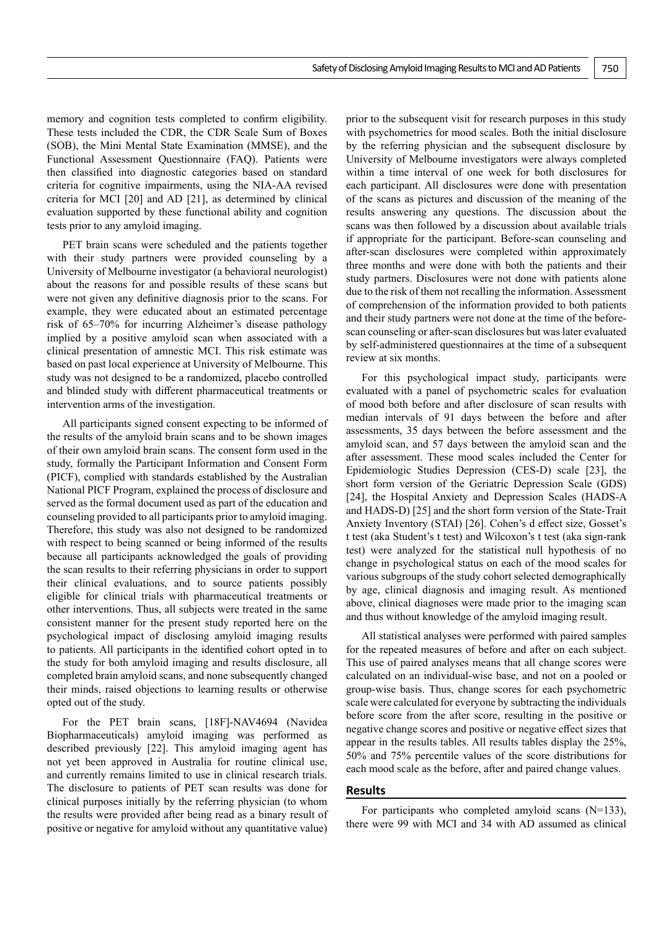memory and cognition tests completed to confirm eligibility. These tests included the CDR, the CDR Scale Sum of Boxes (SOB), the Mini Mental State Examination (MMSE), and the Functional Assessment Questionnaire (FAQ). Patients were then classified into diagnostic categories based on standard criteria for cognitive impairments, using the NIA-AA revised criteria for MCI [20] and AD [21], as determined by clinical evaluation supported by these functional ability and cognition tests prior to any amyloid imaging.

PET brain scans were scheduled and the patients together with their study partners were provided counseling by a University of Melbourne investigator (a behavioral neurologist) about the reasons for and possible results of these scans but were not given any definitive diagnosis prior to the scans. For example, they were educated about an estimated percentage risk of 65–70% for incurring Alzheimer's disease pathology implied by a positive amyloid scan when associated with a clinical presentation of amnestic MCI. This risk estimate was based on past local experience at University of Melbourne. This study was not designed to be a randomized, placebo controlled and blinded study with different pharmaceutical treatments or intervention arms of the investigation.

All participants signed consent expecting to be informed of the results of the amyloid brain scans and to be shown images of their own amyloid brain scans. The consent form used in the study, formally the Participant Information and Consent Form (PICF), complied with standards established by the Australian National PICF Program, explained the process of disclosure and served as the formal document used as part of the education and counseling provided to all participants prior to amyloid imaging. Therefore, this study was also not designed to be randomized with respect to being scanned or being informed of the results because all participants acknowledged the goals of providing the scan results to their referring physicians in order to support their clinical evaluations, and to source patients possibly eligible for clinical trials with pharmaceutical treatments or other interventions. Thus, all subjects were treated in the same consistent manner for the present study reported here on the psychological impact of disclosing amyloid imaging results to patients. All participants in the identified cohort opted in to the study for both amyloid imaging and results disclosure, all completed brain amyloid scans, and none subsequently changed their minds, raised objections to learning results or otherwise opted out of the study.

For the PET brain scans, [18F]-NAV4694 (Navidea Biopharmaceuticals) amyloid imaging was performed as described previously [22]. This amyloid imaging agent has not yet been approved in Australia for routine clinical use, and currently remains limited to use in clinical research trials. The disclosure to patients of PET scan results was done for clinical purposes initially by the referring physician (to whom the results were provided after being read as a binary result of positive or negative for amyloid without any quantitative value)

prior to the subsequent visit for research purposes in this study with psychometrics for mood scales. Both the initial disclosure by the referring physician and the subsequent disclosure by University of Melbourne investigators were always completed within a time interval of one week for both disclosures for each participant. All disclosures were done with presentation of the scans as pictures and discussion of the meaning of the results answering any questions. The discussion about the scans was then followed by a discussion about available trials if appropriate for the participant. Before-scan counseling and after-scan disclosures were completed within approximately three months and were done with both the patients and their study partners. Disclosures were not done with patients alone due to the risk of them not recalling the information. Assessment of comprehension of the information provided to both patients and their study partners were not done at the time of the beforescan counseling or after-scan disclosures but was later evaluated by self-administered questionnaires at the time of a subsequent review at six months.

For this psychological impact study, participants were evaluated with a panel of psychometric scales for evaluation of mood both before and after disclosure of scan results with median intervals of 91 days between the before and after assessments, 35 days between the before assessment and the amyloid scan, and 57 days between the amyloid scan and the after assessment. These mood scales included the Center for Epidemiologic Studies Depression (CES-D) scale [23], the short form version of the Geriatric Depression Scale (GDS) [24], the Hospital Anxiety and Depression Scales (HADS-A and HADS-D) [25] and the short form version of the State-Trait Anxiety Inventory (STAI) [26]. Cohen's d effect size, Gosset's t test (aka Student's t test) and Wilcoxon's t test (aka sign-rank test) were analyzed for the statistical null hypothesis of no change in psychological status on each of the mood scales for various subgroups of the study cohort selected demographically by age, clinical diagnosis and imaging result. As mentioned above, clinical diagnoses were made prior to the imaging scan and thus without knowledge of the amyloid imaging result.

All statistical analyses were performed with paired samples for the repeated measures of before and after on each subject. This use of paired analyses means that all change scores were calculated on an individual-wise base, and not on a pooled or group-wise basis. Thus, change scores for each psychometric scale were calculated for everyone by subtracting the individuals before score from the after score, resulting in the positive or negative change scores and positive or negative effect sizes that appear in the results tables. All results tables display the 25%, 50% and 75% percentile values of the score distributions for each mood scale as the before, after and paired change values.

# **Results**

For participants who completed amyloid scans  $(N=133)$ , there were 99 with MCI and 34 with AD assumed as clinical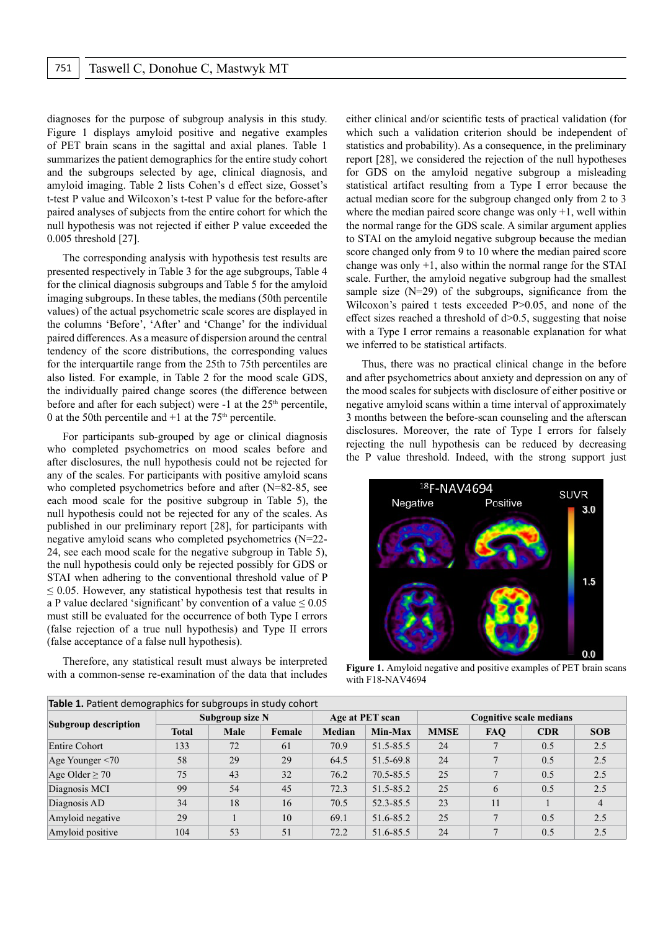diagnoses for the purpose of subgroup analysis in this study. Figure 1 displays amyloid positive and negative examples of PET brain scans in the sagittal and axial planes. Table 1 summarizes the patient demographics for the entire study cohort and the subgroups selected by age, clinical diagnosis, and amyloid imaging. Table 2 lists Cohen's d effect size, Gosset's t-test P value and Wilcoxon's t-test P value for the before-after paired analyses of subjects from the entire cohort for which the null hypothesis was not rejected if either P value exceeded the 0.005 threshold [27].

The corresponding analysis with hypothesis test results are presented respectively in Table 3 for the age subgroups, Table 4 for the clinical diagnosis subgroups and Table 5 for the amyloid imaging subgroups. In these tables, the medians (50th percentile values) of the actual psychometric scale scores are displayed in the columns 'Before', 'After' and 'Change' for the individual paired differences. As a measure of dispersion around the central tendency of the score distributions, the corresponding values for the interquartile range from the 25th to 75th percentiles are also listed. For example, in Table 2 for the mood scale GDS, the individually paired change scores (the difference between before and after for each subject) were -1 at the 25<sup>th</sup> percentile, 0 at the 50th percentile and  $+1$  at the 75<sup>th</sup> percentile.

For participants sub-grouped by age or clinical diagnosis who completed psychometrics on mood scales before and after disclosures, the null hypothesis could not be rejected for any of the scales. For participants with positive amyloid scans who completed psychometrics before and after (N=82-85, see each mood scale for the positive subgroup in Table 5), the null hypothesis could not be rejected for any of the scales. As published in our preliminary report [28], for participants with negative amyloid scans who completed psychometrics (N=22- 24, see each mood scale for the negative subgroup in Table 5), the null hypothesis could only be rejected possibly for GDS or STAI when adhering to the conventional threshold value of P  $\leq$  0.05. However, any statistical hypothesis test that results in a P value declared 'significant' by convention of a value  $\leq 0.05$ must still be evaluated for the occurrence of both Type I errors (false rejection of a true null hypothesis) and Type II errors (false acceptance of a false null hypothesis).

Therefore, any statistical result must always be interpreted with a common-sense re-examination of the data that includes either clinical and/or scientific tests of practical validation (for which such a validation criterion should be independent of statistics and probability). As a consequence, in the preliminary report [28], we considered the rejection of the null hypotheses for GDS on the amyloid negative subgroup a misleading statistical artifact resulting from a Type I error because the actual median score for the subgroup changed only from 2 to 3 where the median paired score change was only  $+1$ , well within the normal range for the GDS scale. A similar argument applies to STAI on the amyloid negative subgroup because the median score changed only from 9 to 10 where the median paired score change was only  $+1$ , also within the normal range for the STAI scale. Further, the amyloid negative subgroup had the smallest sample size  $(N=29)$  of the subgroups, significance from the Wilcoxon's paired t tests exceeded P>0.05, and none of the effect sizes reached a threshold of  $d > 0.5$ , suggesting that noise with a Type I error remains a reasonable explanation for what we inferred to be statistical artifacts.

Thus, there was no practical clinical change in the before and after psychometrics about anxiety and depression on any of the mood scales for subjects with disclosure of either positive or negative amyloid scans within a time interval of approximately 3 months between the before-scan counseling and the afterscan disclosures. Moreover, the rate of Type I errors for falsely rejecting the null hypothesis can be reduced by decreasing the P value threshold. Indeed, with the strong support just



**Figure 1.** Amyloid negative and positive examples of PET brain scans with F18-NAV4694

| Table 1. Patient demographics for subgroups in study cohort |                 |      |        |                 |           |                                |            |            |                |  |
|-------------------------------------------------------------|-----------------|------|--------|-----------------|-----------|--------------------------------|------------|------------|----------------|--|
| <b>Subgroup description</b>                                 | Subgroup size N |      |        | Age at PET scan |           | <b>Cognitive scale medians</b> |            |            |                |  |
|                                                             | <b>Total</b>    | Male | Female | Median          | Min-Max   | <b>MMSE</b>                    | <b>FAO</b> | <b>CDR</b> | <b>SOB</b>     |  |
| Entire Cohort                                               | 133             | 72   | 61     | 70.9            | 51.5-85.5 | 24                             |            | 0.5        | 2.5            |  |
| Age Younger $\leq 70$                                       | 58              | 29   | 29     | 64.5            | 51.5-69.8 | 24                             |            | 0.5        | 2.5            |  |
| Age Older $\geq 70$                                         | 75              | 43   | 32     | 76.2            | 70.5-85.5 | 25                             |            | 0.5        | 2.5            |  |
| Diagnosis MCI                                               | 99              | 54   | 45     | 72.3            | 51.5-85.2 | 25                             | 6          | 0.5        | 2.5            |  |
| Diagnosis AD                                                | 34              | 18   | 16     | 70.5            | 52.3-85.5 | 23                             | 11         |            | $\overline{4}$ |  |
| Amyloid negative                                            | 29              |      | 10     | 69.1            | 51.6-85.2 | 25                             |            | 0.5        | 2.5            |  |
| Amyloid positive                                            | 104             | 53   | 51     | 72.2            | 51.6-85.5 | 24                             |            | 0.5        | 2.5            |  |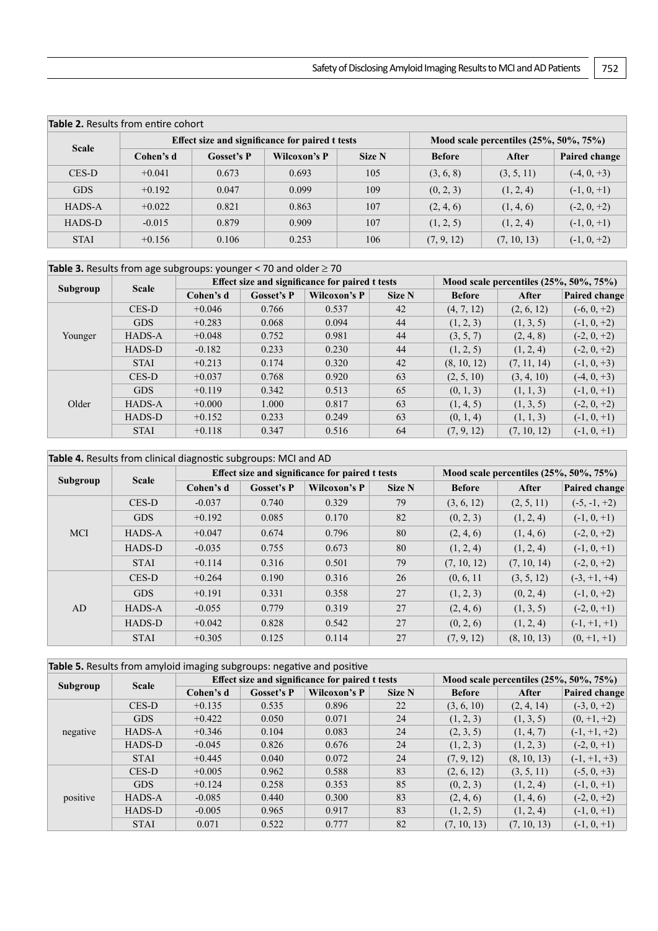| <b>Table 2.</b> Results from entire cohort |           |            |                                                 |                                             |               |             |               |  |  |  |
|--------------------------------------------|-----------|------------|-------------------------------------------------|---------------------------------------------|---------------|-------------|---------------|--|--|--|
| <b>Scale</b>                               |           |            | Effect size and significance for paired t tests | Mood scale percentiles $(25\%, 50\%, 75\%)$ |               |             |               |  |  |  |
|                                            | Cohen's d | Gosset's P | Wilcoxon's P                                    | Size N                                      | <b>Before</b> | After       | Paired change |  |  |  |
| CES-D                                      | $+0.041$  | 0.673      | 0.693                                           | 105                                         | (3, 6, 8)     | (3, 5, 11)  | $(-4, 0, +3)$ |  |  |  |
| <b>GDS</b>                                 | $+0.192$  | 0.047      | 0.099                                           | 109                                         | (0, 2, 3)     | (1, 2, 4)   | $(-1, 0, +1)$ |  |  |  |
| HADS-A                                     | $+0.022$  | 0.821      | 0.863                                           | 107                                         | (2, 4, 6)     | (1, 4, 6)   | $(-2, 0, +2)$ |  |  |  |
| HADS-D                                     | $-0.015$  | 0.879      | 0.909                                           | 107                                         | (1, 2, 5)     | (1, 2, 4)   | $(-1, 0, +1)$ |  |  |  |
| <b>STAI</b>                                | $+0.156$  | 0.106      | 0.253                                           | 106                                         | (7, 9, 12)    | (7, 10, 13) | $(-1, 0, +2)$ |  |  |  |

| Subgroup | <b>Scale</b> |           |                   | Effect size and significance for paired t tests | Mood scale percentiles $(25%, 50%, 75%)$ |               |             |               |
|----------|--------------|-----------|-------------------|-------------------------------------------------|------------------------------------------|---------------|-------------|---------------|
|          |              | Cohen's d | <b>Gosset's P</b> | Wilcoxon's P                                    | Size N                                   | <b>Before</b> | After       | Paired change |
| Younger  | CES-D        | $+0.046$  | 0.766             | 0.537                                           | 42                                       | (4, 7, 12)    | (2, 6, 12)  | $(-6, 0, +2)$ |
|          | <b>GDS</b>   | $+0.283$  | 0.068             | 0.094                                           | 44                                       | (1, 2, 3)     | (1, 3, 5)   | $(-1, 0, +2)$ |
|          | HADS-A       | $+0.048$  | 0.752             | 0.981                                           | 44                                       | (3, 5, 7)     | (2, 4, 8)   | $(-2, 0, +2)$ |
|          | HADS-D       | $-0.182$  | 0.233             | 0.230                                           | 44                                       | (1, 2, 5)     | (1, 2, 4)   | $(-2, 0, +2)$ |
|          | <b>STAI</b>  | $+0.213$  | 0.174             | 0.320                                           | 42                                       | (8, 10, 12)   | (7, 11, 14) | $(-1, 0, +3)$ |
| Older    | CES-D        | $+0.037$  | 0.768             | 0.920                                           | 63                                       | (2, 5, 10)    | (3, 4, 10)  | $(-4, 0, +3)$ |
|          | <b>GDS</b>   | $+0.119$  | 0.342             | 0.513                                           | 65                                       | (0, 1, 3)     | (1, 1, 3)   | $(-1, 0, +1)$ |
|          | HADS-A       | $+0.000$  | 1.000             | 0.817                                           | 63                                       | (1, 4, 5)     | (1, 3, 5)   | $(-2, 0, +2)$ |
|          | HADS-D       | $+0.152$  | 0.233             | 0.249                                           | 63                                       | (0, 1, 4)     | (1, 1, 3)   | $(-1, 0, +1)$ |
|          | <b>STAI</b>  | $+0.118$  | 0.347             | 0.516                                           | 64                                       | (7, 9, 12)    | (7, 10, 12) | $(-1, 0, +1)$ |

| Table 4. Results from clinical diagnostic subgroups: MCI and AD |               |           |                   |                                                 |                                          |               |             |                |  |
|-----------------------------------------------------------------|---------------|-----------|-------------------|-------------------------------------------------|------------------------------------------|---------------|-------------|----------------|--|
| Subgroup                                                        | <b>Scale</b>  |           |                   | Effect size and significance for paired t tests | Mood scale percentiles $(25%, 50%, 75%)$ |               |             |                |  |
|                                                                 |               | Cohen's d | <b>Gosset's P</b> | Wilcoxon's P                                    | Size N                                   | <b>Before</b> | After       | Paired change  |  |
| <b>MCI</b>                                                      | CES-D         | $-0.037$  | 0.740             | 0.329                                           | 79                                       | (3, 6, 12)    | (2, 5, 11)  | $(-5, -1, +2)$ |  |
|                                                                 | <b>GDS</b>    | $+0.192$  | 0.085             | 0.170                                           | 82                                       | (0, 2, 3)     | (1, 2, 4)   | $(-1, 0, +1)$  |  |
|                                                                 | <b>HADS-A</b> | $+0.047$  | 0.674             | 0.796                                           | 80                                       | (2, 4, 6)     | (1, 4, 6)   | $(-2, 0, +2)$  |  |
|                                                                 | HADS-D        | $-0.035$  | 0.755             | 0.673                                           | 80                                       | (1, 2, 4)     | (1, 2, 4)   | $(-1, 0, +1)$  |  |
|                                                                 | <b>STAI</b>   | $+0.114$  | 0.316             | 0.501                                           | 79                                       | (7, 10, 12)   | (7, 10, 14) | $(-2, 0, +2)$  |  |
| AD                                                              | CES-D         | $+0.264$  | 0.190             | 0.316                                           | 26                                       | (0, 6, 11)    | (3, 5, 12)  | $(-3, +1, +4)$ |  |
|                                                                 | <b>GDS</b>    | $+0.191$  | 0.331             | 0.358                                           | 27                                       | (1, 2, 3)     | (0, 2, 4)   | $(-1, 0, +2)$  |  |
|                                                                 | <b>HADS-A</b> | $-0.055$  | 0.779             | 0.319                                           | 27                                       | (2, 4, 6)     | (1, 3, 5)   | $(-2, 0, +1)$  |  |
|                                                                 | HADS-D        | $+0.042$  | 0.828             | 0.542                                           | 27                                       | (0, 2, 6)     | (1, 2, 4)   | $(-1, +1, +1)$ |  |
|                                                                 | <b>STAI</b>   | $+0.305$  | 0.125             | 0.114                                           | 27                                       | (7, 9, 12)    | (8, 10, 13) | $(0, +1, +1)$  |  |

| Table 5. Results from amyloid imaging subgroups: negative and positive |               |           |            |                                                 |                                             |               |             |                |  |
|------------------------------------------------------------------------|---------------|-----------|------------|-------------------------------------------------|---------------------------------------------|---------------|-------------|----------------|--|
| Subgroup                                                               | <b>Scale</b>  |           |            | Effect size and significance for paired t tests | Mood scale percentiles $(25\%, 50\%, 75\%)$ |               |             |                |  |
|                                                                        |               | Cohen's d | Gosset's P | Wilcoxon's P                                    | Size N                                      | <b>Before</b> | After       | Paired change  |  |
| negative                                                               | CES-D         | $+0.135$  | 0.535      | 0.896                                           | 22                                          | (3, 6, 10)    | (2, 4, 14)  | $(-3, 0, +2)$  |  |
|                                                                        | <b>GDS</b>    | $+0.422$  | 0.050      | 0.071                                           | 24                                          | (1, 2, 3)     | (1, 3, 5)   | $(0, +1, +2)$  |  |
|                                                                        | HADS-A        | $+0.346$  | 0.104      | 0.083                                           | 24                                          | (2, 3, 5)     | (1, 4, 7)   | $(-1, +1, +2)$ |  |
|                                                                        | <b>HADS-D</b> | $-0.045$  | 0.826      | 0.676                                           | 24                                          | (1, 2, 3)     | (1, 2, 3)   | $(-2, 0, +1)$  |  |
|                                                                        | <b>STAI</b>   | $+0.445$  | 0.040      | 0.072                                           | 24                                          | (7, 9, 12)    | (8, 10, 13) | $(-1, +1, +3)$ |  |
| positive                                                               | CES-D         | $+0.005$  | 0.962      | 0.588                                           | 83                                          | (2, 6, 12)    | (3, 5, 11)  | $(-5, 0, +3)$  |  |
|                                                                        | <b>GDS</b>    | $+0.124$  | 0.258      | 0.353                                           | 85                                          | (0, 2, 3)     | (1, 2, 4)   | $(-1, 0, +1)$  |  |
|                                                                        | <b>HADS-A</b> | $-0.085$  | 0.440      | 0.300                                           | 83                                          | (2, 4, 6)     | (1, 4, 6)   | $(-2, 0, +2)$  |  |
|                                                                        | HADS-D        | $-0.005$  | 0.965      | 0.917                                           | 83                                          | (1, 2, 5)     | (1, 2, 4)   | $(-1, 0, +1)$  |  |
|                                                                        | <b>STAI</b>   | 0.071     | 0.522      | 0.777                                           | 82                                          | (7, 10, 13)   | (7, 10, 13) | $(-1, 0, +1)$  |  |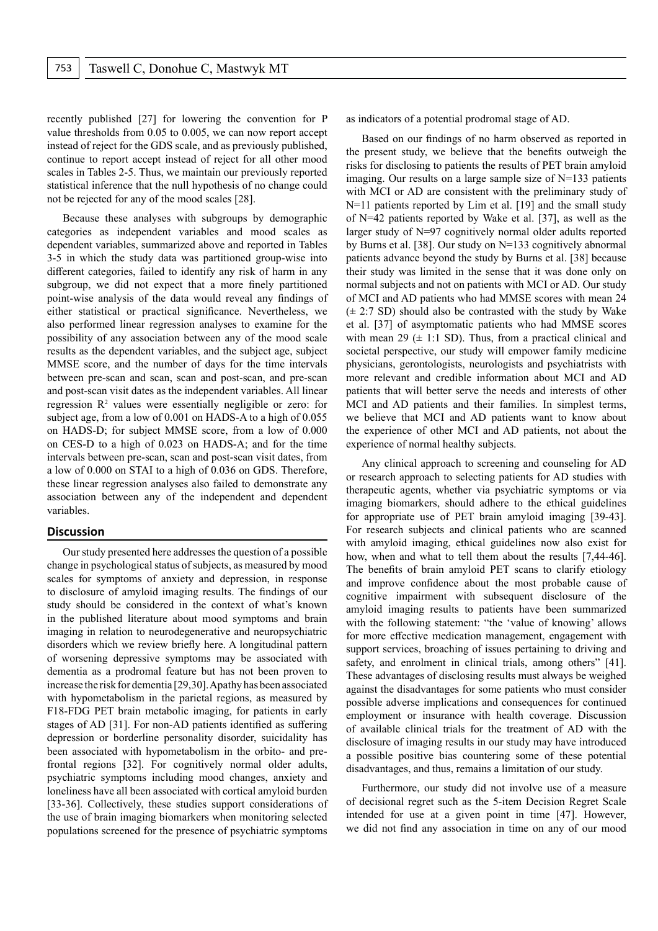recently published [27] for lowering the convention for P value thresholds from 0.05 to 0.005, we can now report accept instead of reject for the GDS scale, and as previously published, continue to report accept instead of reject for all other mood scales in Tables 2-5. Thus, we maintain our previously reported statistical inference that the null hypothesis of no change could not be rejected for any of the mood scales [28].

Because these analyses with subgroups by demographic categories as independent variables and mood scales as dependent variables, summarized above and reported in Tables 3-5 in which the study data was partitioned group-wise into different categories, failed to identify any risk of harm in any subgroup, we did not expect that a more finely partitioned point-wise analysis of the data would reveal any findings of either statistical or practical significance. Nevertheless, we also performed linear regression analyses to examine for the possibility of any association between any of the mood scale results as the dependent variables, and the subject age, subject MMSE score, and the number of days for the time intervals between pre-scan and scan, scan and post-scan, and pre-scan and post-scan visit dates as the independent variables. All linear regression  $\mathbb{R}^2$  values were essentially negligible or zero: for subject age, from a low of 0.001 on HADS-A to a high of 0.055 on HADS-D; for subject MMSE score, from a low of 0.000 on CES-D to a high of 0.023 on HADS-A; and for the time intervals between pre-scan, scan and post-scan visit dates, from a low of 0.000 on STAI to a high of 0.036 on GDS. Therefore, these linear regression analyses also failed to demonstrate any association between any of the independent and dependent variables.

#### **Discussion**

Our study presented here addresses the question of a possible change in psychological status of subjects, as measured by mood scales for symptoms of anxiety and depression, in response to disclosure of amyloid imaging results. The findings of our study should be considered in the context of what's known in the published literature about mood symptoms and brain imaging in relation to neurodegenerative and neuropsychiatric disorders which we review briefly here. A longitudinal pattern of worsening depressive symptoms may be associated with dementia as a prodromal feature but has not been proven to increase the risk for dementia [29,30]. Apathy has been associated with hypometabolism in the parietal regions, as measured by F18-FDG PET brain metabolic imaging, for patients in early stages of AD [31]. For non-AD patients identified as suffering depression or borderline personality disorder, suicidality has been associated with hypometabolism in the orbito- and prefrontal regions [32]. For cognitively normal older adults, psychiatric symptoms including mood changes, anxiety and loneliness have all been associated with cortical amyloid burden [33-36]. Collectively, these studies support considerations of the use of brain imaging biomarkers when monitoring selected populations screened for the presence of psychiatric symptoms

as indicators of a potential prodromal stage of AD.

Based on our findings of no harm observed as reported in the present study, we believe that the benefits outweigh the risks for disclosing to patients the results of PET brain amyloid imaging. Our results on a large sample size of N=133 patients with MCI or AD are consistent with the preliminary study of N=11 patients reported by Lim et al. [19] and the small study of N=42 patients reported by Wake et al. [37], as well as the larger study of N=97 cognitively normal older adults reported by Burns et al. [38]. Our study on N=133 cognitively abnormal patients advance beyond the study by Burns et al. [38] because their study was limited in the sense that it was done only on normal subjects and not on patients with MCI or AD. Our study of MCI and AD patients who had MMSE scores with mean 24  $(\pm 2:7$  SD) should also be contrasted with the study by Wake et al. [37] of asymptomatic patients who had MMSE scores with mean 29  $(\pm 1:1 \text{ SD})$ . Thus, from a practical clinical and societal perspective, our study will empower family medicine physicians, gerontologists, neurologists and psychiatrists with more relevant and credible information about MCI and AD patients that will better serve the needs and interests of other MCI and AD patients and their families. In simplest terms, we believe that MCI and AD patients want to know about the experience of other MCI and AD patients, not about the experience of normal healthy subjects.

Any clinical approach to screening and counseling for AD or research approach to selecting patients for AD studies with therapeutic agents, whether via psychiatric symptoms or via imaging biomarkers, should adhere to the ethical guidelines for appropriate use of PET brain amyloid imaging [39-43]. For research subjects and clinical patients who are scanned with amyloid imaging, ethical guidelines now also exist for how, when and what to tell them about the results [7,44-46]. The benefits of brain amyloid PET scans to clarify etiology and improve confidence about the most probable cause of cognitive impairment with subsequent disclosure of the amyloid imaging results to patients have been summarized with the following statement: "the 'value of knowing' allows for more effective medication management, engagement with support services, broaching of issues pertaining to driving and safety, and enrolment in clinical trials, among others" [41]. These advantages of disclosing results must always be weighed against the disadvantages for some patients who must consider possible adverse implications and consequences for continued employment or insurance with health coverage. Discussion of available clinical trials for the treatment of AD with the disclosure of imaging results in our study may have introduced a possible positive bias countering some of these potential disadvantages, and thus, remains a limitation of our study.

Furthermore, our study did not involve use of a measure of decisional regret such as the 5-item Decision Regret Scale intended for use at a given point in time [47]. However, we did not find any association in time on any of our mood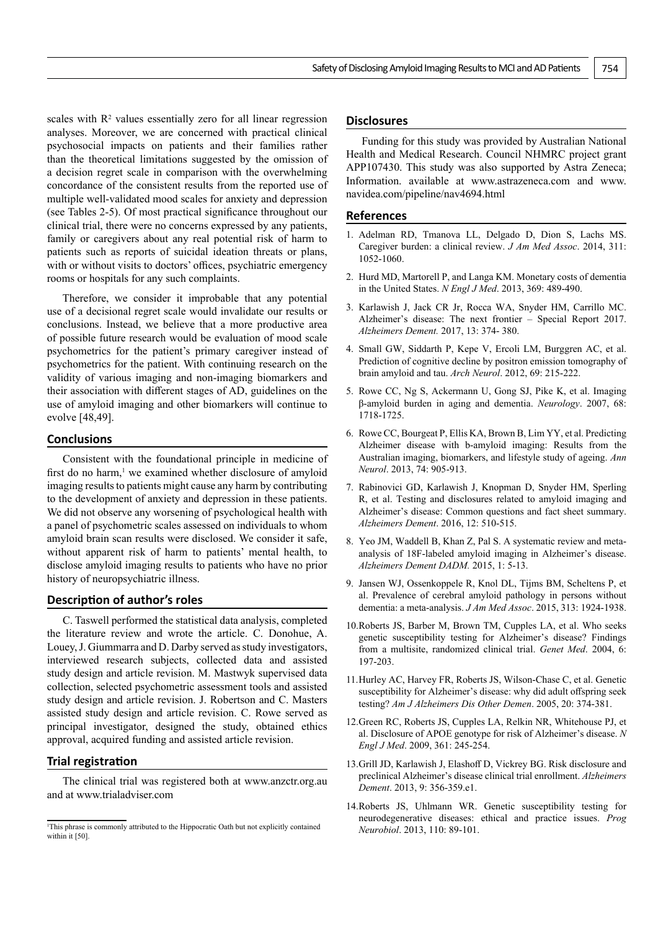scales with  $\mathbb{R}^2$  values essentially zero for all linear regression analyses. Moreover, we are concerned with practical clinical psychosocial impacts on patients and their families rather than the theoretical limitations suggested by the omission of a decision regret scale in comparison with the overwhelming concordance of the consistent results from the reported use of multiple well-validated mood scales for anxiety and depression (see Tables 2-5). Of most practical significance throughout our clinical trial, there were no concerns expressed by any patients, family or caregivers about any real potential risk of harm to patients such as reports of suicidal ideation threats or plans, with or without visits to doctors' offices, psychiatric emergency rooms or hospitals for any such complaints.

Therefore, we consider it improbable that any potential use of a decisional regret scale would invalidate our results or conclusions. Instead, we believe that a more productive area of possible future research would be evaluation of mood scale psychometrics for the patient's primary caregiver instead of psychometrics for the patient. With continuing research on the validity of various imaging and non-imaging biomarkers and their association with different stages of AD, guidelines on the use of amyloid imaging and other biomarkers will continue to evolve [48,49].

# **Conclusions**

Consistent with the foundational principle in medicine of first do no harm,<sup>1</sup> we examined whether disclosure of amyloid imaging results to patients might cause any harm by contributing to the development of anxiety and depression in these patients. We did not observe any worsening of psychological health with a panel of psychometric scales assessed on individuals to whom amyloid brain scan results were disclosed. We consider it safe, without apparent risk of harm to patients' mental health, to disclose amyloid imaging results to patients who have no prior history of neuropsychiatric illness.

### **Description of author's roles**

C. Taswell performed the statistical data analysis, completed the literature review and wrote the article. C. Donohue, A. Louey, J. Giummarra and D. Darby served as study investigators, interviewed research subjects, collected data and assisted study design and article revision. M. Mastwyk supervised data collection, selected psychometric assessment tools and assisted study design and article revision. J. Robertson and C. Masters assisted study design and article revision. C. Rowe served as principal investigator, designed the study, obtained ethics approval, acquired funding and assisted article revision.

# **Trial registration**

The clinical trial was registered both at www.anzctr.org.au and at [www.trialadviser.com](http://www.trialadviser.com)

#### **Disclosures**

Funding for this study was provided by Australian National Health and Medical Research. Council NHMRC project grant APP107430. This study was also supported by Astra Zeneca; Information. available at www.astrazeneca.com and [www.](http://www.navidea.com/pipeline/nav4694.html) [navidea.com/pipeline/nav4694.html](http://www.navidea.com/pipeline/nav4694.html)

#### **References**

- 1. Adelman RD, Tmanova LL, Delgado D, Dion S, Lachs MS. Caregiver burden: a clinical review. *J Am Med Assoc*. 2014, 311: 1052-1060.
- 2. Hurd MD, Martorell P, and Langa KM. Monetary costs of dementia in the United States. *N Engl J Med*. 2013, 369: 489-490.
- 3. Karlawish J, Jack CR Jr, Rocca WA, Snyder HM, Carrillo MC. Alzheimer's disease: The next frontier – Special Report 2017. *Alzheimers Dement.* 2017, 13: 374- 380.
- 4. Small GW, Siddarth P, Kepe V, Ercoli LM, Burggren AC, et al. Prediction of cognitive decline by positron emission tomography of brain amyloid and tau. *Arch Neurol*. 2012, 69: 215-222.
- 5. Rowe CC, Ng S, Ackermann U, Gong SJ, Pike K, et al. Imaging β-amyloid burden in aging and dementia. *Neurology*. 2007, 68: 1718-1725.
- 6. Rowe CC, Bourgeat P, Ellis KA, Brown B, Lim YY, et al. Predicting Alzheimer disease with b-amyloid imaging: Results from the Australian imaging, biomarkers, and lifestyle study of ageing. *Ann Neurol*. 2013, 74: 905-913.
- 7. Rabinovici GD, Karlawish J, Knopman D, Snyder HM, Sperling R, et al. Testing and disclosures related to amyloid imaging and Alzheimer's disease: Common questions and fact sheet summary. *Alzheimers Dement*. 2016, 12: 510-515.
- 8. Yeo JM, Waddell B, Khan Z, Pal S. A systematic review and metaanalysis of 18F-labeled amyloid imaging in Alzheimer's disease. *Alzheimers Dement DADM.* 2015, 1: 5-13.
- 9. Jansen WJ, Ossenkoppele R, Knol DL, Tijms BM, Scheltens P, et al. Prevalence of cerebral amyloid pathology in persons without dementia: a meta-analysis. *J Am Med Assoc*. 2015, 313: 1924-1938.
- 10.Roberts JS, Barber M, Brown TM, Cupples LA, et al. Who seeks genetic susceptibility testing for Alzheimer's disease? Findings from a multisite, randomized clinical trial. *Genet Med*. 2004, 6: 197-203.
- 11.Hurley AC, Harvey FR, Roberts JS, Wilson-Chase C, et al. Genetic susceptibility for Alzheimer's disease: why did adult offspring seek testing? *Am J Alzheimers Dis Other Demen*. 2005, 20: 374-381.
- 12.Green RC, Roberts JS, Cupples LA, Relkin NR, Whitehouse PJ, et al. Disclosure of APOE genotype for risk of Alzheimer's disease. *N Engl J Med*. 2009, 361: 245-254.
- 13.Grill JD, Karlawish J, Elashoff D, Vickrey BG. Risk disclosure and preclinical Alzheimer's disease clinical trial enrollment. *Alzheimers Dement*. 2013, 9: 356-359.e1.
- 14.Roberts JS, Uhlmann WR. Genetic susceptibility testing for neurodegenerative diseases: ethical and practice issues. *Prog Neurobiol*. 2013, 110: 89-101.

<sup>1</sup> This phrase is commonly attributed to the Hippocratic Oath but not explicitly contained within it [50].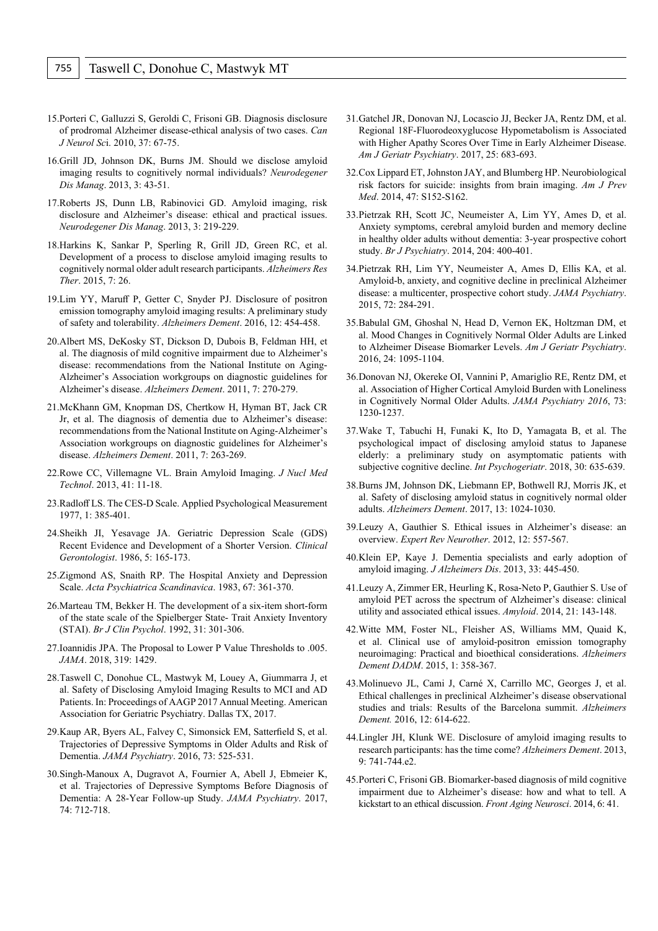- 15.Porteri C, Galluzzi S, Geroldi C, Frisoni GB. Diagnosis disclosure of prodromal Alzheimer disease-ethical analysis of two cases. *Can J Neurol Sc*i. 2010, 37: 67-75.
- 16.Grill JD, Johnson DK, Burns JM. Should we disclose amyloid imaging results to cognitively normal individuals? *Neurodegener Dis Manag*. 2013, 3: 43-51.
- 17.Roberts JS, Dunn LB, Rabinovici GD. Amyloid imaging, risk disclosure and Alzheimer's disease: ethical and practical issues. *Neurodegener Dis Manag*. 2013, 3: 219-229.
- 18.Harkins K, Sankar P, Sperling R, Grill JD, Green RC, et al. Development of a process to disclose amyloid imaging results to cognitively normal older adult research participants. *Alzheimers Res Ther*. 2015, 7: 26.
- 19.Lim YY, Maruff P, Getter C, Snyder PJ. Disclosure of positron emission tomography amyloid imaging results: A preliminary study of safety and tolerability. *Alzheimers Dement*. 2016, 12: 454-458.
- 20.Albert MS, DeKosky ST, Dickson D, Dubois B, Feldman HH, et al. The diagnosis of mild cognitive impairment due to Alzheimer's disease: recommendations from the National Institute on Aging-Alzheimer's Association workgroups on diagnostic guidelines for Alzheimer's disease. *Alzheimers Dement*. 2011, 7: 270-279.
- 21.McKhann GM, Knopman DS, Chertkow H, Hyman BT, Jack CR Jr, et al. The diagnosis of dementia due to Alzheimer's disease: recommendations from the National Institute on Aging-Alzheimer's Association workgroups on diagnostic guidelines for Alzheimer's disease. *Alzheimers Dement*. 2011, 7: 263-269.
- 22.Rowe CC, Villemagne VL. Brain Amyloid Imaging. *J Nucl Med Technol*. 2013, 41: 11-18.
- 23.Radloff LS. The CES-D Scale. Applied Psychological Measurement 1977, 1: 385-401.
- 24.Sheikh JI, Yesavage JA. Geriatric Depression Scale (GDS) Recent Evidence and Development of a Shorter Version. *Clinical Gerontologist*. 1986, 5: 165-173.
- 25.Zigmond AS, Snaith RP. The Hospital Anxiety and Depression Scale. *Acta Psychiatrica Scandinavica*. 1983, 67: 361-370.
- 26.Marteau TM, Bekker H. The development of a six-item short-form of the state scale of the Spielberger State- Trait Anxiety Inventory (STAI). *Br J Clin Psychol*. 1992, 31: 301-306.
- 27.Ioannidis JPA. The Proposal to Lower P Value Thresholds to .005. *JAMA*. 2018, 319: 1429.
- 28.Taswell C, Donohue CL, Mastwyk M, Louey A, Giummarra J, et al. Safety of Disclosing Amyloid Imaging Results to MCI and AD Patients. In: Proceedings of AAGP 2017 Annual Meeting. American Association for Geriatric Psychiatry. Dallas TX, 2017.
- 29.Kaup AR, Byers AL, Falvey C, Simonsick EM, Satterfield S, et al. Trajectories of Depressive Symptoms in Older Adults and Risk of Dementia. *JAMA Psychiatry*. 2016, 73: 525-531.
- 30.Singh-Manoux A, Dugravot A, Fournier A, Abell J, Ebmeier K, et al. Trajectories of Depressive Symptoms Before Diagnosis of Dementia: A 28-Year Follow-up Study. *JAMA Psychiatry*. 2017, 74: 712-718.
- 31.Gatchel JR, Donovan NJ, Locascio JJ, Becker JA, Rentz DM, et al. Regional 18F-Fluorodeoxyglucose Hypometabolism is Associated with Higher Apathy Scores Over Time in Early Alzheimer Disease. *Am J Geriatr Psychiatry*. 2017, 25: 683-693.
- 32.Cox Lippard ET, Johnston JAY, and Blumberg HP. Neurobiological risk factors for suicide: insights from brain imaging. *Am J Prev Med*. 2014, 47: S152-S162.
- 33.Pietrzak RH, Scott JC, Neumeister A, Lim YY, Ames D, et al. Anxiety symptoms, cerebral amyloid burden and memory decline in healthy older adults without dementia: 3-year prospective cohort study. *Br J Psychiatry*. 2014, 204: 400-401.
- 34.Pietrzak RH, Lim YY, Neumeister A, Ames D, Ellis KA, et al. Amyloid-b, anxiety, and cognitive decline in preclinical Alzheimer disease: a multicenter, prospective cohort study. *JAMA Psychiatry*. 2015, 72: 284-291.
- 35.Babulal GM, Ghoshal N, Head D, Vernon EK, Holtzman DM, et al. Mood Changes in Cognitively Normal Older Adults are Linked to Alzheimer Disease Biomarker Levels. *Am J Geriatr Psychiatry*. 2016, 24: 1095-1104.
- 36.Donovan NJ, Okereke OI, Vannini P, Amariglio RE, Rentz DM, et al. Association of Higher Cortical Amyloid Burden with Loneliness in Cognitively Normal Older Adults. *JAMA Psychiatry 2016*, 73: 1230-1237.
- 37.Wake T, Tabuchi H, Funaki K, Ito D, Yamagata B, et al. The psychological impact of disclosing amyloid status to Japanese elderly: a preliminary study on asymptomatic patients with subjective cognitive decline. *Int Psychogeriatr*. 2018, 30: 635-639.
- 38.Burns JM, Johnson DK, Liebmann EP, Bothwell RJ, Morris JK, et al. Safety of disclosing amyloid status in cognitively normal older adults. *Alzheimers Dement*. 2017, 13: 1024-1030.
- 39.Leuzy A, Gauthier S. Ethical issues in Alzheimer's disease: an overview. *Expert Rev Neurother*. 2012, 12: 557-567.
- 40.Klein EP, Kaye J. Dementia specialists and early adoption of amyloid imaging. *J Alzheimers Dis*. 2013, 33: 445-450.
- 41.Leuzy A, Zimmer ER, Heurling K, Rosa-Neto P, Gauthier S. Use of amyloid PET across the spectrum of Alzheimer's disease: clinical utility and associated ethical issues. *Amyloid*. 2014, 21: 143-148.
- 42.Witte MM, Foster NL, Fleisher AS, Williams MM, Quaid K, et al. Clinical use of amyloid-positron emission tomography neuroimaging: Practical and bioethical considerations. *Alzheimers Dement DADM*. 2015, 1: 358-367.
- 43.Molinuevo JL, Cami J, Carné X, Carrillo MC, Georges J, et al. Ethical challenges in preclinical Alzheimer's disease observational studies and trials: Results of the Barcelona summit. *Alzheimers Dement.* 2016, 12: 614-622.
- 44.Lingler JH, Klunk WE. Disclosure of amyloid imaging results to research participants: has the time come? *Alzheimers Dement*. 2013, 9: 741-744.e2.
- 45.Porteri C, Frisoni GB. Biomarker-based diagnosis of mild cognitive impairment due to Alzheimer's disease: how and what to tell. A kickstart to an ethical discussion. *Front Aging Neurosci*. 2014, 6: 41.